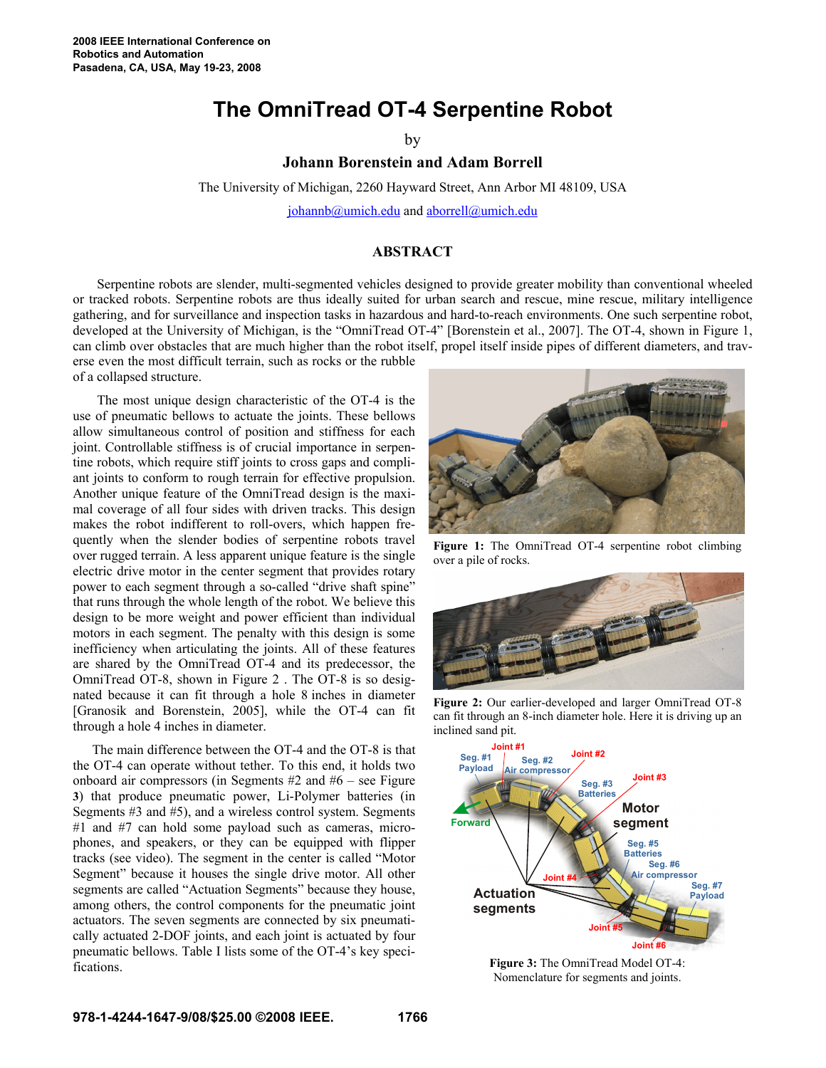of a collapsed structure.

## **The OmniTread OT-4 Serpentine Robot**

by

**Johann Borenstein and Adam Borrell**

The University of Michigan, 2260 Hayward Street, Ann Arbor MI 48109, USA

johannb@umich.edu and aborrell@umich.edu

## **ABSTRACT**

Serpentine robots are slender, multi-segmented vehicles designed to provide greater mobility than conventional wheeled or tracked robots. Serpentine robots are thus ideally suited for urban search and rescue, mine rescue, military intelligence gathering, and for surveillance and inspection tasks in hazardous and hard-to-reach environments. One such serpentine robot, developed at the University of Michigan, is the "OmniTread OT-4" [Borenstein et al., 2007]. The OT-4, shown in Figure 1, can climb over obstacles that are much higher than the robot itself, propel itself inside pipes of different diameters, and traverse even the most difficult terrain, such as rocks or the rubble

The most unique design characteristic of the OT-4 is the use of pneumatic bellows to actuate the joints. These bellows allow simultaneous control of position and stiffness for each joint. Controllable stiffness is of crucial importance in serpentine robots, which require stiff joints to cross gaps and compliant joints to conform to rough terrain for effective propulsion. Another unique feature of the OmniTread design is the maximal coverage of all four sides with driven tracks. This design makes the robot indifferent to roll-overs, which happen frequently when the slender bodies of serpentine robots travel over rugged terrain. A less apparent unique feature is the single electric drive motor in the center segment that provides rotary power to each segment through a so-called "drive shaft spine" that runs through the whole length of the robot. We believe this design to be more weight and power efficient than individual motors in each segment. The penalty with this design is some inefficiency when articulating the joints. All of these features are shared by the OmniTread OT-4 and its predecessor, the OmniTread OT-8, shown in Figure 2 . The OT-8 is so designated because it can fit through a hole 8 inches in diameter [Granosik and Borenstein, 2005], while the OT-4 can fit through a hole 4 inches in diameter.

The main difference between the OT-4 and the OT-8 is that the OT-4 can operate without tether. To this end, it holds two onboard air compressors (in Segments #2 and #6 – see Figure **3**) that produce pneumatic power, Li-Polymer batteries (in Segments #3 and #5), and a wireless control system. Segments #1 and #7 can hold some payload such as cameras, microphones, and speakers, or they can be equipped with flipper tracks (see video). The segment in the center is called "Motor Segment" because it houses the single drive motor. All other segments are called "Actuation Segments" because they house, among others, the control components for the pneumatic joint actuators. The seven segments are connected by six pneumatically actuated 2-DOF joints, and each joint is actuated by four pneumatic bellows. Table I lists some of the OT-4's key specifications.



**Figure 1:** The OmniTread OT-4 serpentine robot climbing over a pile of rocks.



Figure 2: Our earlier-developed and larger OmniTread OT-8 can fit through an 8-inch diameter hole. Here it is driving up an inclined sand pit.



**Figure 3:** The OmniTread Model OT-4: Nomenclature for segments and joints.